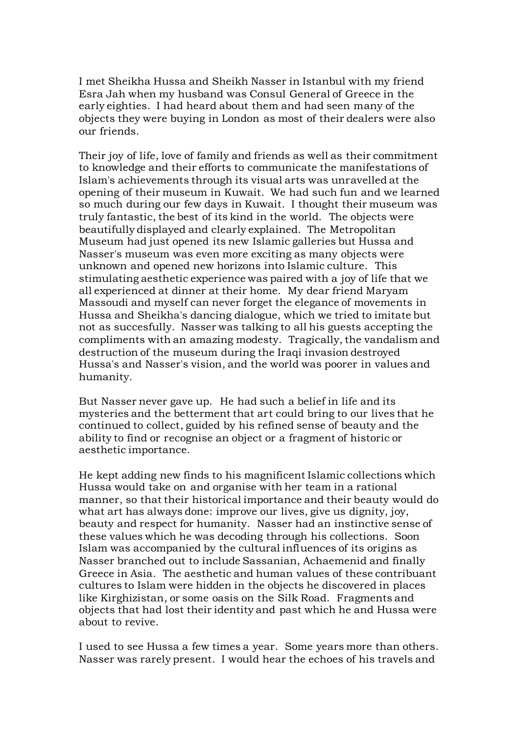I met Sheikha Hussa and Sheikh Nasser in Istanbul with my friend Esra Jah when my husband was Consul General of Greece in the early eighties. I had heard about them and had seen many of the objects they were buying in London as most of their dealers were also our friends.

Their joy of life, love of family and friends as well as their commitment to knowledge and their efforts to communicate the manifestations of Islam's achievements through its visual arts was unravelled at the opening of their museum in Kuwait. We had such fun and we learned so much during our few days in Kuwait. I thought their museum was truly fantastic, the best of its kind in the world. The objects were beautifully displayed and clearly explained. The Metropolitan Museum had just opened its new Islamic galleries but Hussa and Nasser's museum was even more exciting as many objects were unknown and opened new horizons into Islamic culture. This stimulating aesthetic experience was paired with a joy of life that we all experienced at dinner at their home. My dear friend Maryam Massoudi and myself can never forget the elegance of movements in Hussa and Sheikha's dancing dialogue, which we tried to imitate but not as succesfully. Nasser was talking to all his guests accepting the compliments with an amazing modesty. Tragically, the vandalism and destruction of the museum during the Iraqi invasion destroyed Hussa's and Nasser's vision, and the world was poorer in values and humanity.

But Nasser never gave up. He had such a belief in life and its mysteries and the betterment that art could bring to our lives that he continued to collect, guided by his refined sense of beauty and the ability to find or recognise an object or a fragment of historic or aesthetic importance.

He kept adding new finds to his magnificent Islamic collections which Hussa would take on and organise with her team in a rational manner, so that their historical importance and their beauty would do what art has always done: improve our lives, give us dignity, joy, beauty and respect for humanity. Nasser had an instinctive sense of these values which he was decoding through his collections. Soon Islam was accompanied by the cultural influences of its origins as Nasser branched out to include Sassanian, Achaemenid and finally Greece in Asia. The aesthetic and human values of these contribuant cultures to Islam were hidden in the objects he discovered in places like Kirghizistan, or some oasis on the Silk Road. Fragments and objects that had lost their identity and past which he and Hussa were about to revive.

I used to see Hussa a few times a year. Some years more than others. Nasser was rarely present. I would hear the echoes of his travels and